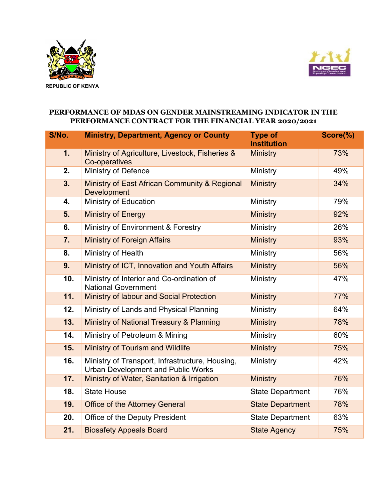



## **PERFORMANCE OF MDAS ON GENDER MAINSTREAMING INDICATOR IN THE PERFORMANCE CONTRACT FOR THE FINANCIAL YEAR 2020/2021**

| S/No. | <b>Ministry, Department, Agency or County</b>                                                | <b>Type of</b><br><b>Institution</b> | Score(%) |
|-------|----------------------------------------------------------------------------------------------|--------------------------------------|----------|
| 1.    | Ministry of Agriculture, Livestock, Fisheries &<br>Co-operatives                             | <b>Ministry</b>                      | 73%      |
| 2.    | Ministry of Defence                                                                          | Ministry                             | 49%      |
| 3.    | Ministry of East African Community & Regional<br><b>Development</b>                          | <b>Ministry</b>                      | 34%      |
| 4.    | Ministry of Education                                                                        | Ministry                             | 79%      |
| 5.    | <b>Ministry of Energy</b>                                                                    | <b>Ministry</b>                      | 92%      |
| 6.    | Ministry of Environment & Forestry                                                           | Ministry                             | 26%      |
| 7.    | <b>Ministry of Foreign Affairs</b>                                                           | <b>Ministry</b>                      | 93%      |
| 8.    | Ministry of Health                                                                           | Ministry                             | 56%      |
| 9.    | Ministry of ICT, Innovation and Youth Affairs                                                | <b>Ministry</b>                      | 56%      |
| 10.   | Ministry of Interior and Co-ordination of<br><b>National Government</b>                      | Ministry                             | 47%      |
| 11.   | Ministry of labour and Social Protection                                                     | <b>Ministry</b>                      | 77%      |
| 12.   | Ministry of Lands and Physical Planning                                                      | Ministry                             | 64%      |
| 13.   | Ministry of National Treasury & Planning                                                     | <b>Ministry</b>                      | 78%      |
| 14.   | Ministry of Petroleum & Mining                                                               | Ministry                             | 60%      |
| 15.   | Ministry of Tourism and Wildlife                                                             | <b>Ministry</b>                      | 75%      |
| 16.   | Ministry of Transport, Infrastructure, Housing,<br><b>Urban Development and Public Works</b> | Ministry                             | 42%      |
| 17.   | Ministry of Water, Sanitation & Irrigation                                                   | <b>Ministry</b>                      | 76%      |
| 18.   | <b>State House</b>                                                                           | <b>State Department</b>              | 76%      |
| 19.   | <b>Office of the Attorney General</b>                                                        | <b>State Department</b>              | 78%      |
| 20.   | Office of the Deputy President                                                               | <b>State Department</b>              | 63%      |
| 21.   | <b>Biosafety Appeals Board</b>                                                               | <b>State Agency</b>                  | 75%      |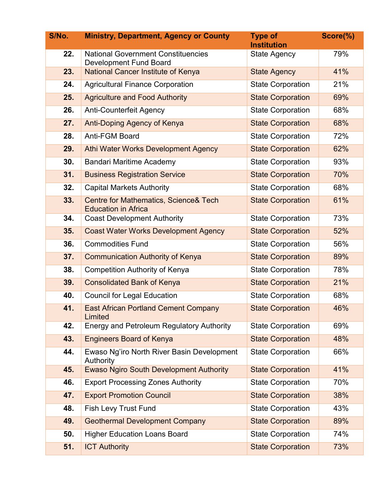| S/No. | <b>Ministry, Department, Agency or County</b>                       | <b>Type of</b><br><b>Institution</b> | Score(%) |
|-------|---------------------------------------------------------------------|--------------------------------------|----------|
| 22.   | <b>National Government Constituencies</b><br>Development Fund Board | <b>State Agency</b>                  | 79%      |
| 23.   | <b>National Cancer Institute of Kenya</b>                           | <b>State Agency</b>                  | 41%      |
| 24.   | <b>Agricultural Finance Corporation</b>                             | <b>State Corporation</b>             | 21%      |
| 25.   | <b>Agriculture and Food Authority</b>                               | <b>State Corporation</b>             | 69%      |
| 26.   | <b>Anti-Counterfeit Agency</b>                                      | <b>State Corporation</b>             | 68%      |
| 27.   | Anti-Doping Agency of Kenya                                         | <b>State Corporation</b>             | 68%      |
| 28.   | Anti-FGM Board                                                      | <b>State Corporation</b>             | 72%      |
| 29.   | Athi Water Works Development Agency                                 | <b>State Corporation</b>             | 62%      |
| 30.   | <b>Bandari Maritime Academy</b>                                     | <b>State Corporation</b>             | 93%      |
| 31.   | <b>Business Registration Service</b>                                | <b>State Corporation</b>             | 70%      |
| 32.   | <b>Capital Markets Authority</b>                                    | <b>State Corporation</b>             | 68%      |
| 33.   | Centre for Mathematics, Science& Tech<br><b>Education in Africa</b> | <b>State Corporation</b>             | 61%      |
| 34.   | <b>Coast Development Authority</b>                                  | <b>State Corporation</b>             | 73%      |
| 35.   | <b>Coast Water Works Development Agency</b>                         | <b>State Corporation</b>             | 52%      |
| 36.   | <b>Commodities Fund</b>                                             | <b>State Corporation</b>             | 56%      |
| 37.   | <b>Communication Authority of Kenya</b>                             | <b>State Corporation</b>             | 89%      |
| 38.   | <b>Competition Authority of Kenya</b>                               | <b>State Corporation</b>             | 78%      |
| 39.   | <b>Consolidated Bank of Kenya</b>                                   | <b>State Corporation</b>             | 21%      |
| 40.   | <b>Council for Legal Education</b>                                  | <b>State Corporation</b>             | 68%      |
| 41.   | <b>East African Portland Cement Company</b><br>Limited              | <b>State Corporation</b>             | 46%      |
| 42.   | <b>Energy and Petroleum Regulatory Authority</b>                    | <b>State Corporation</b>             | 69%      |
| 43.   | <b>Engineers Board of Kenya</b>                                     | <b>State Corporation</b>             | 48%      |
| 44.   | Ewaso Ng'iro North River Basin Development<br>Authority             | <b>State Corporation</b>             | 66%      |
| 45.   | <b>Ewaso Ngiro South Development Authority</b>                      | <b>State Corporation</b>             | 41%      |
| 46.   | <b>Export Processing Zones Authority</b>                            | <b>State Corporation</b>             | 70%      |
| 47.   | <b>Export Promotion Council</b>                                     | <b>State Corporation</b>             | 38%      |
| 48.   | Fish Levy Trust Fund                                                | <b>State Corporation</b>             | 43%      |
| 49.   | <b>Geothermal Development Company</b>                               | <b>State Corporation</b>             | 89%      |
| 50.   | <b>Higher Education Loans Board</b>                                 | <b>State Corporation</b>             | 74%      |
| 51.   | <b>ICT Authority</b>                                                | <b>State Corporation</b>             | 73%      |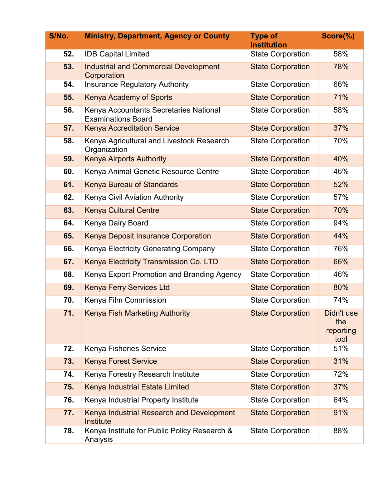| S/No. | <b>Ministry, Department, Agency or County</b>                       | <b>Type of</b><br><b>Institution</b> | Score(%)                               |
|-------|---------------------------------------------------------------------|--------------------------------------|----------------------------------------|
| 52.   | <b>IDB Capital Limited</b>                                          | <b>State Corporation</b>             | 58%                                    |
| 53.   | <b>Industrial and Commercial Development</b><br>Corporation         | <b>State Corporation</b>             | 78%                                    |
| 54.   | <b>Insurance Regulatory Authority</b>                               | <b>State Corporation</b>             | 66%                                    |
| 55.   | Kenya Academy of Sports                                             | <b>State Corporation</b>             | 71%                                    |
| 56.   | Kenya Accountants Secretaries National<br><b>Examinations Board</b> | <b>State Corporation</b>             | 58%                                    |
| 57.   | <b>Kenya Accreditation Service</b>                                  | <b>State Corporation</b>             | 37%                                    |
| 58.   | Kenya Agricultural and Livestock Research<br>Organization           | <b>State Corporation</b>             | 70%                                    |
| 59.   | <b>Kenya Airports Authority</b>                                     | <b>State Corporation</b>             | 40%                                    |
| 60.   | Kenya Animal Genetic Resource Centre                                | <b>State Corporation</b>             | 46%                                    |
| 61.   | Kenya Bureau of Standards                                           | <b>State Corporation</b>             | 52%                                    |
| 62.   | Kenya Civil Aviation Authority                                      | <b>State Corporation</b>             | 57%                                    |
| 63.   | <b>Kenya Cultural Centre</b>                                        | <b>State Corporation</b>             | 70%                                    |
| 64.   | Kenya Dairy Board                                                   | <b>State Corporation</b>             | 94%                                    |
| 65.   | <b>Kenya Deposit Insurance Corporation</b>                          | <b>State Corporation</b>             | 44%                                    |
| 66.   | Kenya Electricity Generating Company                                | <b>State Corporation</b>             | 76%                                    |
| 67.   | Kenya Electricity Transmission Co. LTD                              | <b>State Corporation</b>             | 66%                                    |
| 68.   | Kenya Export Promotion and Branding Agency                          | <b>State Corporation</b>             | 46%                                    |
| 69.   | Kenya Ferry Services Ltd                                            | <b>State Corporation</b>             | 80%                                    |
| 70.   | Kenya Film Commission                                               | <b>State Corporation</b>             | 74%                                    |
| 71    | <b>Kenya Fish Marketing Authority</b>                               | <b>State Corporation</b>             | Didn't use<br>the<br>reporting<br>tool |
| 72.   | Kenya Fisheries Service                                             | <b>State Corporation</b>             | 51%                                    |
| 73.   | <b>Kenya Forest Service</b>                                         | <b>State Corporation</b>             | 31%                                    |
| 74.   | Kenya Forestry Research Institute                                   | <b>State Corporation</b>             | 72%                                    |
| 75.   | Kenya Industrial Estate Limited                                     | <b>State Corporation</b>             | 37%                                    |
| 76.   | Kenya Industrial Property Institute                                 | <b>State Corporation</b>             | 64%                                    |
| 77.   | Kenya Industrial Research and Development<br>Institute              | <b>State Corporation</b>             | 91%                                    |
| 78.   | Kenya Institute for Public Policy Research &<br>Analysis            | <b>State Corporation</b>             | 88%                                    |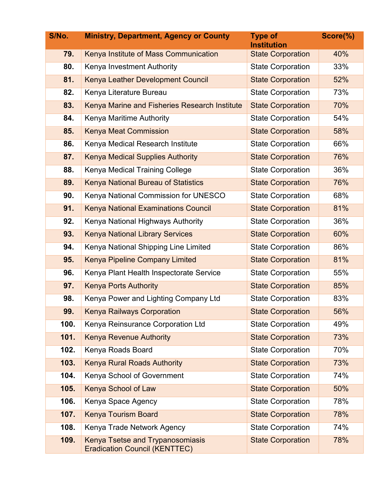| S/No. | <b>Ministry, Department, Agency or County</b>                            | <b>Type of</b><br><b>Institution</b> | Score(%) |
|-------|--------------------------------------------------------------------------|--------------------------------------|----------|
| 79.   | Kenya Institute of Mass Communication                                    | <b>State Corporation</b>             | 40%      |
| 80.   | Kenya Investment Authority                                               | <b>State Corporation</b>             | 33%      |
| 81.   | Kenya Leather Development Council                                        | <b>State Corporation</b>             | 52%      |
| 82.   | Kenya Literature Bureau                                                  | <b>State Corporation</b>             | 73%      |
| 83.   | Kenya Marine and Fisheries Research Institute                            | <b>State Corporation</b>             | 70%      |
| 84.   | Kenya Maritime Authority                                                 | <b>State Corporation</b>             | 54%      |
| 85.   | <b>Kenya Meat Commission</b>                                             | <b>State Corporation</b>             | 58%      |
| 86.   | Kenya Medical Research Institute                                         | <b>State Corporation</b>             | 66%      |
| 87.   | <b>Kenya Medical Supplies Authority</b>                                  | <b>State Corporation</b>             | 76%      |
| 88.   | Kenya Medical Training College                                           | <b>State Corporation</b>             | 36%      |
| 89.   | Kenya National Bureau of Statistics                                      | <b>State Corporation</b>             | 76%      |
| 90.   | Kenya National Commission for UNESCO                                     | <b>State Corporation</b>             | 68%      |
| 91.   | <b>Kenya National Examinations Council</b>                               | <b>State Corporation</b>             | 81%      |
| 92.   | Kenya National Highways Authority                                        | <b>State Corporation</b>             | 36%      |
| 93.   | <b>Kenya National Library Services</b>                                   | <b>State Corporation</b>             | 60%      |
| 94.   | Kenya National Shipping Line Limited                                     | <b>State Corporation</b>             | 86%      |
| 95.   | <b>Kenya Pipeline Company Limited</b>                                    | <b>State Corporation</b>             | 81%      |
| 96.   | Kenya Plant Health Inspectorate Service                                  | <b>State Corporation</b>             | 55%      |
| 97.   | <b>Kenya Ports Authority</b>                                             | <b>State Corporation</b>             | 85%      |
| 98.   | Kenya Power and Lighting Company Ltd                                     | <b>State Corporation</b>             | 83%      |
| 99.   | <b>Kenya Railways Corporation</b>                                        | <b>State Corporation</b>             | 56%      |
| 100.  | Kenya Reinsurance Corporation Ltd                                        | <b>State Corporation</b>             | 49%      |
| 101.  | <b>Kenya Revenue Authority</b>                                           | <b>State Corporation</b>             | 73%      |
| 102.  | Kenya Roads Board                                                        | <b>State Corporation</b>             | 70%      |
| 103.  | <b>Kenya Rural Roads Authority</b>                                       | <b>State Corporation</b>             | 73%      |
| 104.  | Kenya School of Government                                               | <b>State Corporation</b>             | 74%      |
| 105.  | <b>Kenya School of Law</b>                                               | <b>State Corporation</b>             | 50%      |
| 106.  | Kenya Space Agency                                                       | <b>State Corporation</b>             | 78%      |
| 107.  | <b>Kenya Tourism Board</b>                                               | <b>State Corporation</b>             | 78%      |
| 108.  | Kenya Trade Network Agency                                               | <b>State Corporation</b>             | 74%      |
| 109.  | Kenya Tsetse and Trypanosomiasis<br><b>Eradication Council (KENTTEC)</b> | <b>State Corporation</b>             | 78%      |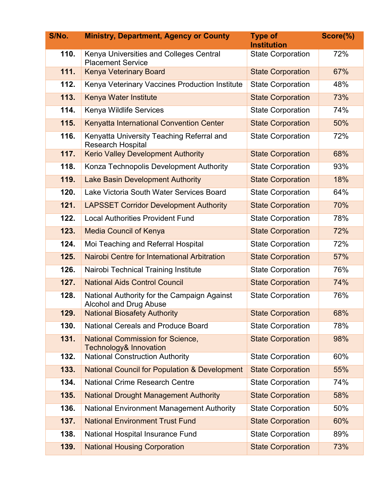| S/No. | <b>Ministry, Department, Agency or County</b>                                | <b>Type of</b><br><b>Institution</b> | Score(%) |
|-------|------------------------------------------------------------------------------|--------------------------------------|----------|
| 110.  | Kenya Universities and Colleges Central<br><b>Placement Service</b>          | <b>State Corporation</b>             | 72%      |
| 111.  | <b>Kenya Veterinary Board</b>                                                | <b>State Corporation</b>             | 67%      |
| 112.  | Kenya Veterinary Vaccines Production Institute                               | <b>State Corporation</b>             | 48%      |
| 113.  | Kenya Water Institute                                                        | <b>State Corporation</b>             | 73%      |
| 114.  | Kenya Wildlife Services                                                      | <b>State Corporation</b>             | 74%      |
| 115.  | Kenyatta International Convention Center                                     | <b>State Corporation</b>             | 50%      |
| 116.  | Kenyatta University Teaching Referral and<br><b>Research Hospital</b>        | <b>State Corporation</b>             | 72%      |
| 117.  | <b>Kerio Valley Development Authority</b>                                    | <b>State Corporation</b>             | 68%      |
| 118.  | Konza Technopolis Development Authority                                      | <b>State Corporation</b>             | 93%      |
| 119.  | <b>Lake Basin Development Authority</b>                                      | <b>State Corporation</b>             | 18%      |
| 120.  | Lake Victoria South Water Services Board                                     | <b>State Corporation</b>             | 64%      |
| 121.  | <b>LAPSSET Corridor Development Authority</b>                                | <b>State Corporation</b>             | 70%      |
| 122.  | <b>Local Authorities Provident Fund</b>                                      | <b>State Corporation</b>             | 78%      |
| 123.  | <b>Media Council of Kenya</b>                                                | <b>State Corporation</b>             | 72%      |
| 124.  | Moi Teaching and Referral Hospital                                           | <b>State Corporation</b>             | 72%      |
| 125.  | Nairobi Centre for International Arbitration                                 | <b>State Corporation</b>             | 57%      |
| 126.  | Nairobi Technical Training Institute                                         | <b>State Corporation</b>             | 76%      |
| 127.  | <b>National Aids Control Council</b>                                         | <b>State Corporation</b>             | 74%      |
| 128.  | National Authority for the Campaign Against<br>Alcohol and Drug Abuse        | <b>State Corporation</b>             | 76%      |
| 129.  | <b>National Biosafety Authority</b>                                          | <b>State Corporation</b>             | 68%      |
| 130.  | <b>National Cereals and Produce Board</b>                                    | <b>State Corporation</b>             | 78%      |
| 131.  | <b>National Commission for Science,</b><br><b>Technology&amp; Innovation</b> | <b>State Corporation</b>             | 98%      |
| 132.  | <b>National Construction Authority</b>                                       | <b>State Corporation</b>             | 60%      |
| 133.  | <b>National Council for Population &amp; Development</b>                     | <b>State Corporation</b>             | 55%      |
| 134.  | <b>National Crime Research Centre</b>                                        | <b>State Corporation</b>             | 74%      |
| 135.  | <b>National Drought Management Authority</b>                                 | <b>State Corporation</b>             | 58%      |
| 136.  | National Environment Management Authority                                    | <b>State Corporation</b>             | 50%      |
| 137.  | <b>National Environment Trust Fund</b>                                       | <b>State Corporation</b>             | 60%      |
| 138.  | National Hospital Insurance Fund                                             | <b>State Corporation</b>             | 89%      |
| 139.  | <b>National Housing Corporation</b>                                          | <b>State Corporation</b>             | 73%      |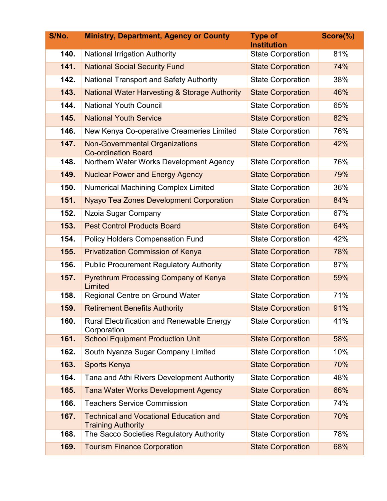| S/No. | <b>Ministry, Department, Agency or County</b>                              | <b>Type of</b><br><b>Institution</b> | Score(%) |
|-------|----------------------------------------------------------------------------|--------------------------------------|----------|
| 140.  | <b>National Irrigation Authority</b>                                       | <b>State Corporation</b>             | 81%      |
| 141.  | <b>National Social Security Fund</b>                                       | <b>State Corporation</b>             | 74%      |
| 142.  | National Transport and Safety Authority                                    | <b>State Corporation</b>             | 38%      |
| 143.  | <b>National Water Harvesting &amp; Storage Authority</b>                   | <b>State Corporation</b>             | 46%      |
| 144.  | <b>National Youth Council</b>                                              | <b>State Corporation</b>             | 65%      |
| 145.  | <b>National Youth Service</b>                                              | <b>State Corporation</b>             | 82%      |
| 146.  | New Kenya Co-operative Creameries Limited                                  | <b>State Corporation</b>             | 76%      |
| 147.  | <b>Non-Governmental Organizations</b><br><b>Co-ordination Board</b>        | <b>State Corporation</b>             | 42%      |
| 148.  | Northern Water Works Development Agency                                    | <b>State Corporation</b>             | 76%      |
| 149.  | <b>Nuclear Power and Energy Agency</b>                                     | <b>State Corporation</b>             | 79%      |
| 150.  | Numerical Machining Complex Limited                                        | <b>State Corporation</b>             | 36%      |
| 151.  | <b>Nyayo Tea Zones Development Corporation</b>                             | <b>State Corporation</b>             | 84%      |
| 152.  | Nzoia Sugar Company                                                        | <b>State Corporation</b>             | 67%      |
| 153.  | <b>Pest Control Products Board</b>                                         | <b>State Corporation</b>             | 64%      |
| 154.  | <b>Policy Holders Compensation Fund</b>                                    | <b>State Corporation</b>             | 42%      |
| 155.  | <b>Privatization Commission of Kenya</b>                                   | <b>State Corporation</b>             | 78%      |
| 156.  | <b>Public Procurement Regulatory Authority</b>                             | <b>State Corporation</b>             | 87%      |
| 157.  | <b>Pyrethrum Processing Company of Kenya</b><br>Limited                    | <b>State Corporation</b>             | 59%      |
| 158.  | Regional Centre on Ground Water                                            | <b>State Corporation</b>             | 71%      |
| 159.  | <b>Retirement Benefits Authority</b>                                       | <b>State Corporation</b>             | 91%      |
| 160.  | <b>Rural Electrification and Renewable Energy</b><br>Corporation           | <b>State Corporation</b>             | 41%      |
| 161.  | <b>School Equipment Production Unit</b>                                    | <b>State Corporation</b>             | 58%      |
| 162.  | South Nyanza Sugar Company Limited                                         | <b>State Corporation</b>             | 10%      |
| 163.  | <b>Sports Kenya</b>                                                        | <b>State Corporation</b>             | 70%      |
| 164.  | Tana and Athi Rivers Development Authority                                 | <b>State Corporation</b>             | 48%      |
| 165.  | <b>Tana Water Works Development Agency</b>                                 | <b>State Corporation</b>             | 66%      |
| 166.  | <b>Teachers Service Commission</b>                                         | <b>State Corporation</b>             | 74%      |
| 167.  | <b>Technical and Vocational Education and</b><br><b>Training Authority</b> | <b>State Corporation</b>             | 70%      |
| 168.  | The Sacco Societies Regulatory Authority                                   | <b>State Corporation</b>             | 78%      |
| 169.  | <b>Tourism Finance Corporation</b>                                         | <b>State Corporation</b>             | 68%      |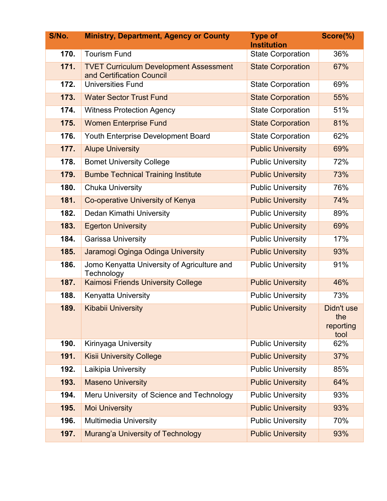| S/No. | <b>Ministry, Department, Agency or County</b>                              | <b>Type of</b><br><b>Institution</b> | Score(%)                               |
|-------|----------------------------------------------------------------------------|--------------------------------------|----------------------------------------|
| 170.  | <b>Tourism Fund</b>                                                        | <b>State Corporation</b>             | 36%                                    |
| 171.  | <b>TVET Curriculum Development Assessment</b><br>and Certification Council | <b>State Corporation</b>             | 67%                                    |
| 172.  | <b>Universities Fund</b>                                                   | <b>State Corporation</b>             | 69%                                    |
| 173.  | <b>Water Sector Trust Fund</b>                                             | <b>State Corporation</b>             | 55%                                    |
| 174.  | <b>Witness Protection Agency</b>                                           | <b>State Corporation</b>             | 51%                                    |
| 175.  | <b>Women Enterprise Fund</b>                                               | <b>State Corporation</b>             | 81%                                    |
| 176.  | Youth Enterprise Development Board                                         | <b>State Corporation</b>             | 62%                                    |
| 177.  | <b>Alupe University</b>                                                    | <b>Public University</b>             | 69%                                    |
| 178.  | <b>Bomet University College</b>                                            | <b>Public University</b>             | 72%                                    |
| 179.  | <b>Bumbe Technical Training Institute</b>                                  | <b>Public University</b>             | 73%                                    |
| 180.  | <b>Chuka University</b>                                                    | <b>Public University</b>             | 76%                                    |
| 181.  | Co-operative University of Kenya                                           | <b>Public University</b>             | 74%                                    |
| 182.  | Dedan Kimathi University                                                   | <b>Public University</b>             | 89%                                    |
| 183.  | <b>Egerton University</b>                                                  | <b>Public University</b>             | 69%                                    |
| 184.  | Garissa University                                                         | <b>Public University</b>             | 17%                                    |
| 185.  | Jaramogi Oginga Odinga University                                          | <b>Public University</b>             | 93%                                    |
| 186.  | Jomo Kenyatta University of Agriculture and<br>Technology                  | <b>Public University</b>             | 91%                                    |
| 187.  | <b>Kaimosi Friends University College</b>                                  | <b>Public University</b>             | 46%                                    |
| 188.  | Kenyatta University                                                        | <b>Public University</b>             | 73%                                    |
| 189.  | <b>Kibabii University</b>                                                  | <b>Public University</b>             | Didn't use<br>the<br>reporting<br>tool |
| 190.  | Kirinyaga University                                                       | <b>Public University</b>             | 62%                                    |
| 191.  | <b>Kisii University College</b>                                            | <b>Public University</b>             | 37%                                    |
| 192.  | Laikipia University                                                        | <b>Public University</b>             | 85%                                    |
| 193.  | <b>Maseno University</b>                                                   | <b>Public University</b>             | 64%                                    |
| 194.  | Meru University of Science and Technology                                  | <b>Public University</b>             | 93%                                    |
| 195.  | <b>Moi University</b>                                                      | <b>Public University</b>             | 93%                                    |
| 196.  | <b>Multimedia University</b>                                               | <b>Public University</b>             | 70%                                    |
| 197.  | Murang'a University of Technology                                          | <b>Public University</b>             | 93%                                    |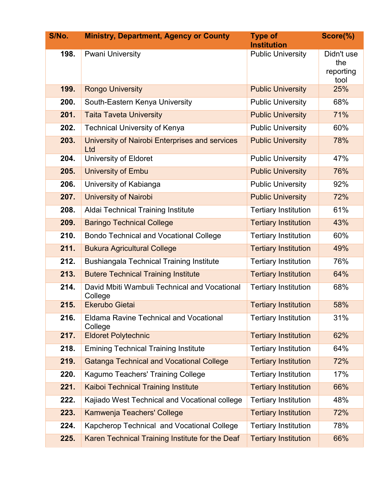| S/No. | <b>Ministry, Department, Agency or County</b>            | <b>Type of</b><br><b>Institution</b> | Score(%)                               |
|-------|----------------------------------------------------------|--------------------------------------|----------------------------------------|
| 198.  | <b>Pwani University</b>                                  | <b>Public University</b>             | Didn't use<br>the<br>reporting<br>tool |
| 199.  | <b>Rongo University</b>                                  | <b>Public University</b>             | 25%                                    |
| 200.  | South-Eastern Kenya University                           | <b>Public University</b>             | 68%                                    |
| 201.  | <b>Taita Taveta University</b>                           | <b>Public University</b>             | 71%                                    |
| 202.  | <b>Technical University of Kenya</b>                     | <b>Public University</b>             | 60%                                    |
| 203.  | University of Nairobi Enterprises and services<br>Ltd    | <b>Public University</b>             | 78%                                    |
| 204.  | University of Eldoret                                    | <b>Public University</b>             | 47%                                    |
| 205.  | University of Embu                                       | <b>Public University</b>             | 76%                                    |
| 206.  | University of Kabianga                                   | <b>Public University</b>             | 92%                                    |
| 207.  | <b>University of Nairobi</b>                             | <b>Public University</b>             | 72%                                    |
| 208.  | Aldai Technical Training Institute                       | <b>Tertiary Institution</b>          | 61%                                    |
| 209.  | <b>Baringo Technical College</b>                         | <b>Tertiary Institution</b>          | 43%                                    |
| 210.  | <b>Bondo Technical and Vocational College</b>            | <b>Tertiary Institution</b>          | 60%                                    |
| 211.  | <b>Bukura Agricultural College</b>                       | <b>Tertiary Institution</b>          | 49%                                    |
| 212.  | <b>Bushiangala Technical Training Institute</b>          | <b>Tertiary Institution</b>          | 76%                                    |
| 213.  | <b>Butere Technical Training Institute</b>               | <b>Tertiary Institution</b>          | 64%                                    |
| 214.  | David Mbiti Wambuli Technical and Vocational<br>College  | <b>Tertiary Institution</b>          | 68%                                    |
| 215.  | <b>Ekerubo Gietai</b>                                    | <b>Tertiary Institution</b>          | 58%                                    |
| 216.  | <b>Eldama Ravine Technical and Vocational</b><br>College | <b>Tertiary Institution</b>          | 31%                                    |
| 217.  | <b>Eldoret Polytechnic</b>                               | <b>Tertiary Institution</b>          | 62%                                    |
| 218.  | <b>Emining Technical Training Institute</b>              | <b>Tertiary Institution</b>          | 64%                                    |
| 219.  | <b>Gatanga Technical and Vocational College</b>          | <b>Tertiary Institution</b>          | 72%                                    |
| 220.  | Kagumo Teachers' Training College                        | <b>Tertiary Institution</b>          | 17%                                    |
| 221.  | <b>Kaiboi Technical Training Institute</b>               | <b>Tertiary Institution</b>          | 66%                                    |
| 222.  | Kajiado West Technical and Vocational college            | <b>Tertiary Institution</b>          | 48%                                    |
| 223.  | Kamwenja Teachers' College                               | <b>Tertiary Institution</b>          | 72%                                    |
| 224.  | Kapcherop Technical and Vocational College               | <b>Tertiary Institution</b>          | 78%                                    |
| 225.  | Karen Technical Training Institute for the Deaf          | <b>Tertiary Institution</b>          | 66%                                    |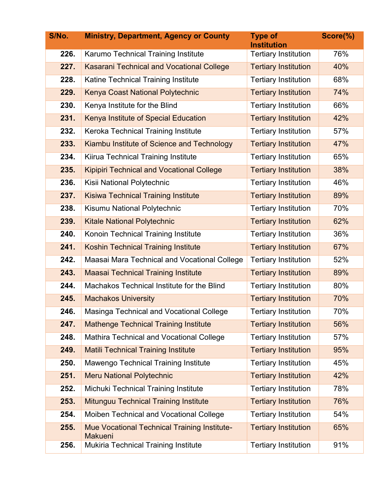| S/No. | <b>Ministry, Department, Agency or County</b>                         | <b>Type of</b><br><b>Institution</b> | Score(%) |
|-------|-----------------------------------------------------------------------|--------------------------------------|----------|
| 226.  | Karumo Technical Training Institute                                   | <b>Tertiary Institution</b>          | 76%      |
| 227.  | <b>Kasarani Technical and Vocational College</b>                      | <b>Tertiary Institution</b>          | 40%      |
| 228.  | Katine Technical Training Institute                                   | <b>Tertiary Institution</b>          | 68%      |
| 229.  | Kenya Coast National Polytechnic                                      | <b>Tertiary Institution</b>          | 74%      |
| 230.  | Kenya Institute for the Blind                                         | <b>Tertiary Institution</b>          | 66%      |
| 231.  | Kenya Institute of Special Education                                  | <b>Tertiary Institution</b>          | 42%      |
| 232.  | Keroka Technical Training Institute                                   | <b>Tertiary Institution</b>          | 57%      |
| 233.  | Kiambu Institute of Science and Technology                            | <b>Tertiary Institution</b>          | 47%      |
| 234.  | Kiirua Technical Training Institute                                   | <b>Tertiary Institution</b>          | 65%      |
| 235.  | <b>Kipipiri Technical and Vocational College</b>                      | <b>Tertiary Institution</b>          | 38%      |
| 236.  | Kisii National Polytechnic                                            | <b>Tertiary Institution</b>          | 46%      |
| 237.  | <b>Kisiwa Technical Training Institute</b>                            | <b>Tertiary Institution</b>          | 89%      |
| 238.  | Kisumu National Polytechnic                                           | <b>Tertiary Institution</b>          | 70%      |
| 239.  | <b>Kitale National Polytechnic</b>                                    | <b>Tertiary Institution</b>          | 62%      |
| 240.  | Konoin Technical Training Institute                                   | <b>Tertiary Institution</b>          | 36%      |
| 241.  | <b>Koshin Technical Training Institute</b>                            | <b>Tertiary Institution</b>          | 67%      |
| 242.  | Maasai Mara Technical and Vocational College                          | <b>Tertiary Institution</b>          | 52%      |
| 243.  | <b>Maasai Technical Training Institute</b>                            | <b>Tertiary Institution</b>          | 89%      |
| 244.  | Machakos Technical Institute for the Blind                            | <b>Tertiary Institution</b>          | 80%      |
| 245.  | <b>Machakos University</b>                                            | <b>Tertiary Institution</b>          | 70%      |
| 246.  | Masinga Technical and Vocational College                              | <b>Tertiary Institution</b>          | 70%      |
| 247.  | <b>Mathenge Technical Training Institute</b>                          | <b>Tertiary Institution</b>          | 56%      |
| 248.  | Mathira Technical and Vocational College                              | <b>Tertiary Institution</b>          | 57%      |
| 249.  | <b>Matili Technical Training Institute</b>                            | <b>Tertiary Institution</b>          | 95%      |
| 250.  | Mawengo Technical Training Institute                                  | <b>Tertiary Institution</b>          | 45%      |
| 251.  | <b>Meru National Polytechnic</b>                                      | <b>Tertiary Institution</b>          | 42%      |
| 252.  | Michuki Technical Training Institute                                  | <b>Tertiary Institution</b>          | 78%      |
| 253.  | <b>Mitunguu Technical Training Institute</b>                          | <b>Tertiary Institution</b>          | 76%      |
| 254.  | Moiben Technical and Vocational College                               | <b>Tertiary Institution</b>          | 54%      |
| 255.  | <b>Mue Vocational Technical Training Institute-</b><br><b>Makueni</b> | <b>Tertiary Institution</b>          | 65%      |
| 256.  | <b>Mukiria Technical Training Institute</b>                           | <b>Tertiary Institution</b>          | 91%      |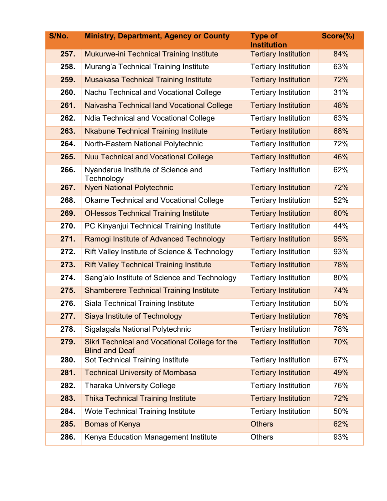| S/No. | <b>Ministry, Department, Agency or County</b>                           | <b>Type of</b><br><b>Institution</b> | Score(%) |
|-------|-------------------------------------------------------------------------|--------------------------------------|----------|
| 257.  | <b>Mukurwe-ini Technical Training Institute</b>                         | <b>Tertiary Institution</b>          | 84%      |
| 258.  | Murang'a Technical Training Institute                                   | <b>Tertiary Institution</b>          | 63%      |
| 259.  | <b>Musakasa Technical Training Institute</b>                            | <b>Tertiary Institution</b>          | 72%      |
| 260.  | Nachu Technical and Vocational College                                  | <b>Tertiary Institution</b>          | 31%      |
| 261.  | Naivasha Technical land Vocational College                              | <b>Tertiary Institution</b>          | 48%      |
| 262.  | <b>Ndia Technical and Vocational College</b>                            | <b>Tertiary Institution</b>          | 63%      |
| 263.  | <b>Nkabune Technical Training Institute</b>                             | <b>Tertiary Institution</b>          | 68%      |
| 264.  | North-Eastern National Polytechnic                                      | <b>Tertiary Institution</b>          | 72%      |
| 265.  | <b>Nuu Technical and Vocational College</b>                             | <b>Tertiary Institution</b>          | 46%      |
| 266.  | Nyandarua Institute of Science and<br>Technology                        | <b>Tertiary Institution</b>          | 62%      |
| 267.  | <b>Nyeri National Polytechnic</b>                                       | <b>Tertiary Institution</b>          | 72%      |
| 268.  | <b>Okame Technical and Vocational College</b>                           | <b>Tertiary Institution</b>          | 52%      |
| 269.  | <b>OI-lessos Technical Training Institute</b>                           | <b>Tertiary Institution</b>          | 60%      |
| 270.  | PC Kinyanjui Technical Training Institute                               | <b>Tertiary Institution</b>          | 44%      |
| 271.  | Ramogi Institute of Advanced Technology                                 | <b>Tertiary Institution</b>          | 95%      |
| 272.  | Rift Valley Institute of Science & Technology                           | <b>Tertiary Institution</b>          | 93%      |
| 273.  | <b>Rift Valley Technical Training Institute</b>                         | <b>Tertiary Institution</b>          | 78%      |
| 274.  | Sang'alo Institute of Science and Technology                            | <b>Tertiary Institution</b>          | 80%      |
| 275.  | <b>Shamberere Technical Training Institute</b>                          | <b>Tertiary Institution</b>          | 74%      |
| 276.  | Siala Technical Training Institute                                      | <b>Tertiary Institution</b>          | 50%      |
| 277.  | Siaya Institute of Technology                                           | <b>Tertiary Institution</b>          | 76%      |
| 278.  | Sigalagala National Polytechnic                                         | <b>Tertiary Institution</b>          | 78%      |
| 279.  | Sikri Technical and Vocational College for the<br><b>Blind and Deaf</b> | <b>Tertiary Institution</b>          | 70%      |
| 280.  | Sot Technical Training Institute                                        | <b>Tertiary Institution</b>          | 67%      |
| 281.  | <b>Technical University of Mombasa</b>                                  | <b>Tertiary Institution</b>          | 49%      |
| 282.  | <b>Tharaka University College</b>                                       | <b>Tertiary Institution</b>          | 76%      |
| 283.  | <b>Thika Technical Training Institute</b>                               | <b>Tertiary Institution</b>          | 72%      |
| 284.  | <b>Wote Technical Training Institute</b>                                | <b>Tertiary Institution</b>          | 50%      |
| 285.  | <b>Bomas of Kenya</b>                                                   | <b>Others</b>                        | 62%      |
| 286.  | Kenya Education Management Institute                                    | <b>Others</b>                        | 93%      |